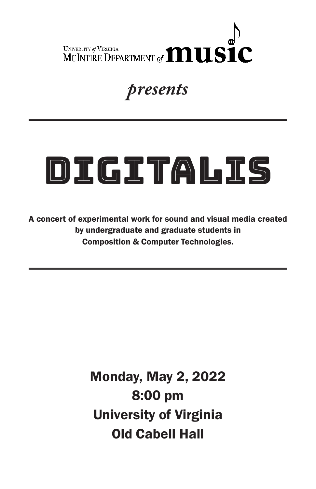

### *presents*

# DIGITALIS

A concert of experimental work for sound and visual media created by undergraduate and graduate students in Composition & Computer Technologies.

> Monday, May 2, 2022 8:00 pm University of Virginia Old Cabell Hall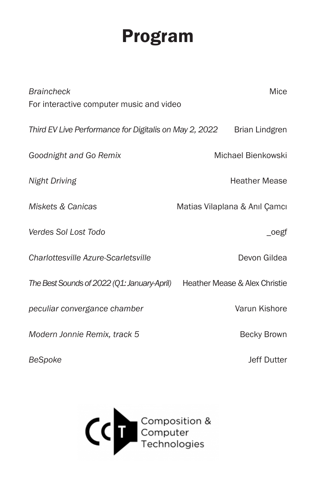# Program

| <b>Braincheck</b>                                      | Mice                          |
|--------------------------------------------------------|-------------------------------|
| For interactive computer music and video               |                               |
| Third EV Live Performance for Digitalis on May 2, 2022 | <b>Brian Lindgren</b>         |
| Goodnight and Go Remix                                 | Michael Bienkowski            |
| <b>Night Driving</b>                                   | <b>Heather Mease</b>          |
| Miskets & Canicas                                      | Matias Vilaplana & Anıl Çamcı |
| Verdes Sol Lost Todo                                   | $_o$ egf                      |
| Charlottesville Azure-Scarletsville                    | Devon Gildea                  |
| The Best Sounds of 2022 (Q1: January-April)            | Heather Mease & Alex Christie |
| peculiar convergance chamber                           | Varun Kishore                 |
| Modern Jonnie Remix, track 5                           | Becky Brown                   |

*BeSpoke* Jeff Dutter

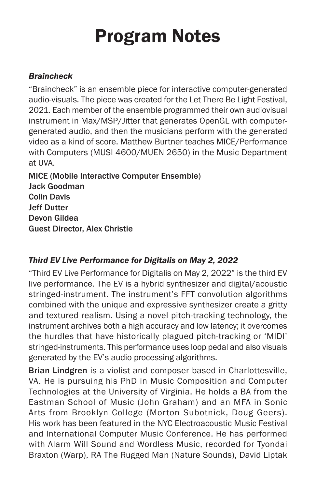# Program Notes

#### *Braincheck*

"Braincheck" is an ensemble piece for interactive computer-generated audio-visuals. The piece was created for the Let There Be Light Festival, 2021. Each member of the ensemble programmed their own audiovisual instrument in Max/MSP/Jitter that generates OpenGL with computergenerated audio, and then the musicians perform with the generated video as a kind of score. Matthew Burtner teaches MICE/Performance with Computers (MUSI 4600/MUEN 2650) in the Music Department at UVA.

MICE (Mobile Interactive Computer Ensemble) Jack Goodman Colin Davis Jeff Dutter Devon Gildea Guest Director, Alex Christie

#### *Third EV Live Performance for Digitalis on May 2, 2022*

"Third EV Live Performance for Digitalis on May 2, 2022" is the third EV live performance. The EV is a hybrid synthesizer and digital/acoustic stringed-instrument. The instrument's FFT convolution algorithms combined with the unique and expressive synthesizer create a gritty and textured realism. Using a novel pitch-tracking technology, the instrument archives both a high accuracy and low latency; it overcomes the hurdles that have historically plagued pitch-tracking or 'MIDI' stringed-instruments. This performance uses loop pedal and also visuals generated by the EV's audio processing algorithms.

Brian Lindgren is a violist and composer based in Charlottesville, VA. He is pursuing his PhD in Music Composition and Computer Technologies at the University of Virginia. He holds a BA from the Eastman School of Music (John Graham) and an MFA in Sonic Arts from Brooklyn College (Morton Subotnick, Doug Geers). His work has been featured in the NYC Electroacoustic Music Festival and International Computer Music Conference. He has performed with Alarm Will Sound and Wordless Music, recorded for Tyondai Braxton (Warp), RA The Rugged Man (Nature Sounds), David Liptak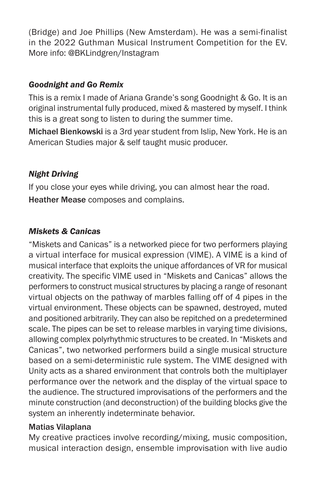(Bridge) and Joe Phillips (New Amsterdam). He was a semi-finalist in the 2022 Guthman Musical Instrument Competition for the EV. More info: @BKLindgren/Instagram

#### *Goodnight and Go Remix*

This is a remix I made of Ariana Grande's song Goodnight & Go. It is an original instrumental fully produced, mixed & mastered by myself. I think this is a great song to listen to during the summer time.

Michael Bienkowski is a 3rd year student from Islip, New York. He is an American Studies major & self taught music producer.

#### *Night Driving*

If you close your eyes while driving, you can almost hear the road. Heather Mease composes and complains.

#### *Miskets & Canicas*

"Miskets and Canicas" is a networked piece for two performers playing a virtual interface for musical expression (VIME). A VIME is a kind of musical interface that exploits the unique affordances of VR for musical creativity. The specific VIME used in "Miskets and Canicas" allows the performers to construct musical structures by placing a range of resonant virtual objects on the pathway of marbles falling off of 4 pipes in the virtual environment. These objects can be spawned, destroyed, muted and positioned arbitrarily. They can also be repitched on a predetermined scale. The pipes can be set to release marbles in varying time divisions, allowing complex polyrhythmic structures to be created. In "Miskets and Canicas", two networked performers build a single musical structure based on a semi-deterministic rule system. The VIME designed with Unity acts as a shared environment that controls both the multiplayer performance over the network and the display of the virtual space to the audience. The structured improvisations of the performers and the minute construction (and deconstruction) of the building blocks give the system an inherently indeterminate behavior.

#### Matias Vilaplana

My creative practices involve recording/mixing, music composition, musical interaction design, ensemble improvisation with live audio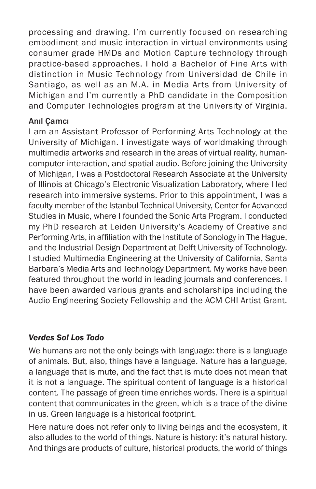processing and drawing. I'm currently focused on researching embodiment and music interaction in virtual environments using consumer grade HMDs and Motion Capture technology through practice-based approaches. I hold a Bachelor of Fine Arts with distinction in Music Technology from Universidad de Chile in Santiago, as well as an M.A. in Media Arts from University of Michigan and I'm currently a PhD candidate in the Composition and Computer Technologies program at the University of Virginia.

#### Anıl Çamcı

I am an Assistant Professor of Performing Arts Technology at the University of Michigan. I investigate ways of worldmaking through multimedia artworks and research in the areas of virtual reality, humancomputer interaction, and spatial audio. Before joining the University of Michigan, I was a Postdoctoral Research Associate at the University of Illinois at Chicago's Electronic Visualization Laboratory, where I led research into immersive systems. Prior to this appointment, I was a faculty member of the Istanbul Technical University, Center for Advanced Studies in Music, where I founded the Sonic Arts Program. I conducted my PhD research at Leiden University's Academy of Creative and Performing Arts, in affiliation with the Institute of Sonology in The Hague, and the Industrial Design Department at Delft University of Technology. I studied Multimedia Engineering at the University of California, Santa Barbara's Media Arts and Technology Department. My works have been featured throughout the world in leading journals and conferences. I have been awarded various grants and scholarships including the Audio Engineering Society Fellowship and the ACM CHI Artist Grant.

#### *Verdes Sol Los Todo*

We humans are not the only beings with language: there is a language of animals. But, also, things have a language. Nature has a language, a language that is mute, and the fact that is mute does not mean that it is not a language. The spiritual content of language is a historical content. The passage of green time enriches words. There is a spiritual content that communicates in the green, which is a trace of the divine in us. Green language is a historical footprint.

Here nature does not refer only to living beings and the ecosystem, it also alludes to the world of things. Nature is history: it's natural history. And things are products of culture, historical products, the world of things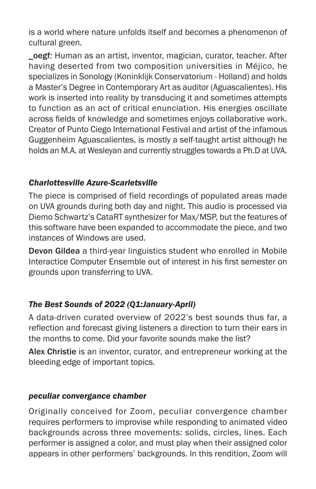is a world where nature unfolds itself and becomes a phenomenon of cultural green.

\_oegf: Human as an artist, inventor, magician, curator, teacher. After having deserted from two composition universities in Méjico, he specializes in Sonology (Koninklijk Conservatorium - Holland) and holds a Master's Degree in Contemporary Art as auditor (Aguascalientes). His work is inserted into reality by transducing it and sometimes attempts to function as an act of critical enunciation. His energies oscillate across fields of knowledge and sometimes enjoys collaborative work. Creator of Punto Ciego International Festival and artist of the infamous Guggenheim Aguascalientes, is mostly a self-taught artist although he holds an M.A. at Wesleyan and currently struggles towards a Ph.D at UVA.

#### *Charlottesville Azure-Scarletsville*

The piece is comprised of field recordings of populated areas made on UVA grounds during both day and night. This audio is processed via Diemo Schwartz's CataRT synthesizer for Max/MSP, but the features of this software have been expanded to accommodate the piece, and two instances of Windows are used.

Devon Gildea a third-year linguistics student who enrolled in Mobile Interactice Computer Ensemble out of interest in his first semester on grounds upon transferring to UVA.

#### *The Best Sounds of 2022 (Q1:January-April)*

A data-driven curated overview of 2022's best sounds thus far, a reflection and forecast giving listeners a direction to turn their ears in the months to come. Did your favorite sounds make the list?

Alex Christie is an inventor, curator, and entrepreneur working at the bleeding edge of important topics.

#### *peculiar convergance chamber*

Originally conceived for Zoom, peculiar convergence chamber requires performers to improvise while responding to animated video backgrounds across three movements: solids, circles, lines. Each performer is assigned a color, and must play when their assigned color appears in other performers' backgrounds. In this rendition, Zoom will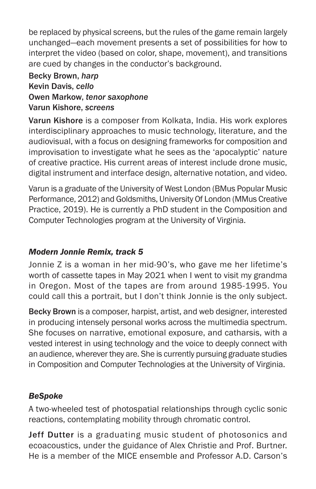be replaced by physical screens, but the rules of the game remain largely unchanged—each movement presents a set of possibilities for how to interpret the video (based on color, shape, movement), and transitions are cued by changes in the conductor's background.

#### Becky Brown, *harp* Kevin Davis, *cello* Owen Markow, *tenor saxophone* Varun Kishore, *screens*

Varun Kishore is a composer from Kolkata, India. His work explores interdisciplinary approaches to music technology, literature, and the audiovisual, with a focus on designing frameworks for composition and improvisation to investigate what he sees as the 'apocalyptic' nature of creative practice. His current areas of interest include drone music, digital instrument and interface design, alternative notation, and video.

Varun is a graduate of the University of West London (BMus Popular Music Performance, 2012) and Goldsmiths, University Of London (MMus Creative Practice, 2019). He is currently a PhD student in the Composition and Computer Technologies program at the University of Virginia.

#### *Modern Jonnie Remix, track 5*

Jonnie Z is a woman in her mid-90's, who gave me her lifetime's worth of cassette tapes in May 2021 when I went to visit my grandma in Oregon. Most of the tapes are from around 1985-1995. You could call this a portrait, but I don't think Jonnie is the only subject.

Becky Brown is a composer, harpist, artist, and web designer, interested in producing intensely personal works across the multimedia spectrum. She focuses on narrative, emotional exposure, and catharsis, with a vested interest in using technology and the voice to deeply connect with an audience, wherever they are. She is currently pursuing graduate studies in Composition and Computer Technologies at the University of Virginia.

#### *BeSpoke*

A two-wheeled test of photospatial relationships through cyclic sonic reactions, contemplating mobility through chromatic control.

Jeff Dutter is a graduating music student of photosonics and ecoacoustics, under the guidance of Alex Christie and Prof. Burtner. He is a member of the MICE ensemble and Professor A.D. Carson's